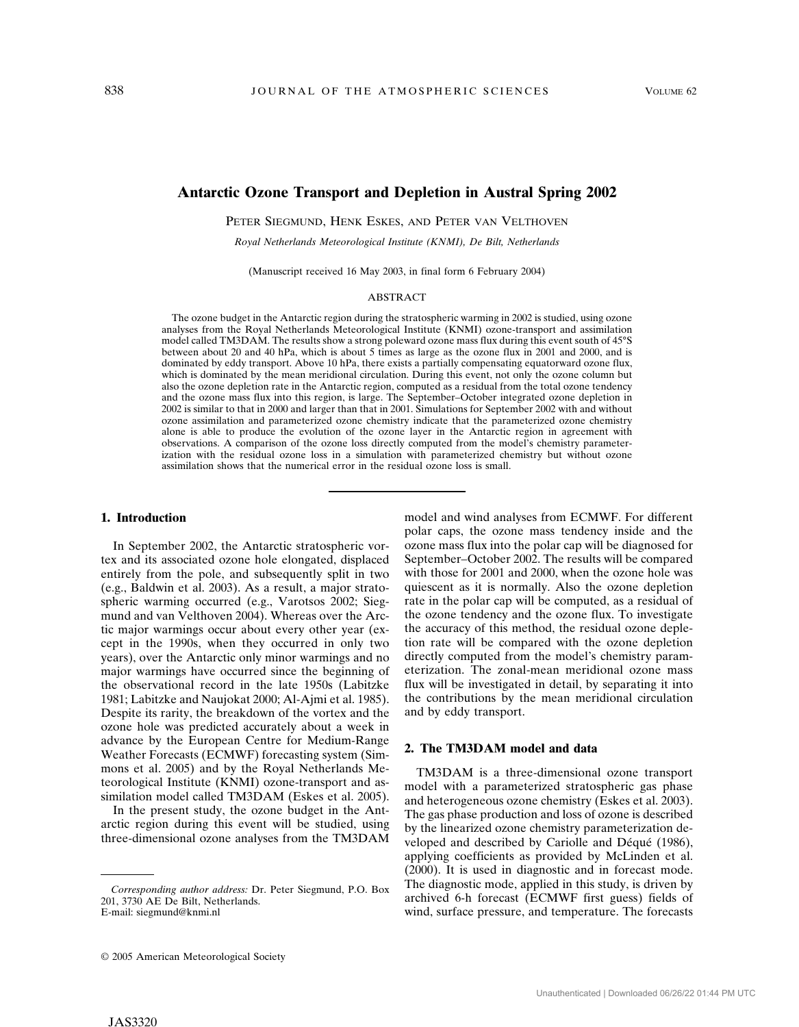# **Antarctic Ozone Transport and Depletion in Austral Spring 2002**

PETER SIEGMUND, HENK ESKES, AND PETER VAN VELTHOVEN

*Royal Netherlands Meteorological Institute (KNMI), De Bilt, Netherlands*

(Manuscript received 16 May 2003, in final form 6 February 2004)

### ABSTRACT

The ozone budget in the Antarctic region during the stratospheric warming in 2002 is studied, using ozone analyses from the Royal Netherlands Meteorological Institute (KNMI) ozone-transport and assimilation model called TM3DAM. The results show a strong poleward ozone mass flux during this event south of 45**°**S between about 20 and 40 hPa, which is about 5 times as large as the ozone flux in 2001 and 2000, and is dominated by eddy transport. Above 10 hPa, there exists a partially compensating equatorward ozone flux, which is dominated by the mean meridional circulation. During this event, not only the ozone column but also the ozone depletion rate in the Antarctic region, computed as a residual from the total ozone tendency and the ozone mass flux into this region, is large. The September–October integrated ozone depletion in 2002 is similar to that in 2000 and larger than that in 2001. Simulations for September 2002 with and without ozone assimilation and parameterized ozone chemistry indicate that the parameterized ozone chemistry alone is able to produce the evolution of the ozone layer in the Antarctic region in agreement with observations. A comparison of the ozone loss directly computed from the model's chemistry parameterization with the residual ozone loss in a simulation with parameterized chemistry but without ozone assimilation shows that the numerical error in the residual ozone loss is small.

### **1. Introduction**

In September 2002, the Antarctic stratospheric vortex and its associated ozone hole elongated, displaced entirely from the pole, and subsequently split in two (e.g., Baldwin et al. 2003). As a result, a major stratospheric warming occurred (e.g., Varotsos 2002; Siegmund and van Velthoven 2004). Whereas over the Arctic major warmings occur about every other year (except in the 1990s, when they occurred in only two years), over the Antarctic only minor warmings and no major warmings have occurred since the beginning of the observational record in the late 1950s (Labitzke 1981; Labitzke and Naujokat 2000; Al-Ajmi et al. 1985). Despite its rarity, the breakdown of the vortex and the ozone hole was predicted accurately about a week in advance by the European Centre for Medium-Range Weather Forecasts (ECMWF) forecasting system (Simmons et al. 2005) and by the Royal Netherlands Meteorological Institute (KNMI) ozone-transport and assimilation model called TM3DAM (Eskes et al. 2005).

In the present study, the ozone budget in the Antarctic region during this event will be studied, using three-dimensional ozone analyses from the TM3DAM model and wind analyses from ECMWF. For different polar caps, the ozone mass tendency inside and the ozone mass flux into the polar cap will be diagnosed for September–October 2002. The results will be compared with those for 2001 and 2000, when the ozone hole was quiescent as it is normally. Also the ozone depletion rate in the polar cap will be computed, as a residual of the ozone tendency and the ozone flux. To investigate the accuracy of this method, the residual ozone depletion rate will be compared with the ozone depletion directly computed from the model's chemistry parameterization. The zonal-mean meridional ozone mass flux will be investigated in detail, by separating it into the contributions by the mean meridional circulation and by eddy transport.

### **2. The TM3DAM model and data**

TM3DAM is a three-dimensional ozone transport model with a parameterized stratospheric gas phase and heterogeneous ozone chemistry (Eskes et al. 2003). The gas phase production and loss of ozone is described by the linearized ozone chemistry parameterization developed and described by Cariolle and Déqué (1986), applying coefficients as provided by McLinden et al. (2000). It is used in diagnostic and in forecast mode. The diagnostic mode, applied in this study, is driven by archived 6-h forecast (ECMWF first guess) fields of wind, surface pressure, and temperature. The forecasts

*Corresponding author address:* Dr. Peter Siegmund, P.O. Box 201, 3730 AE De Bilt, Netherlands. E-mail: siegmund@knmi.nl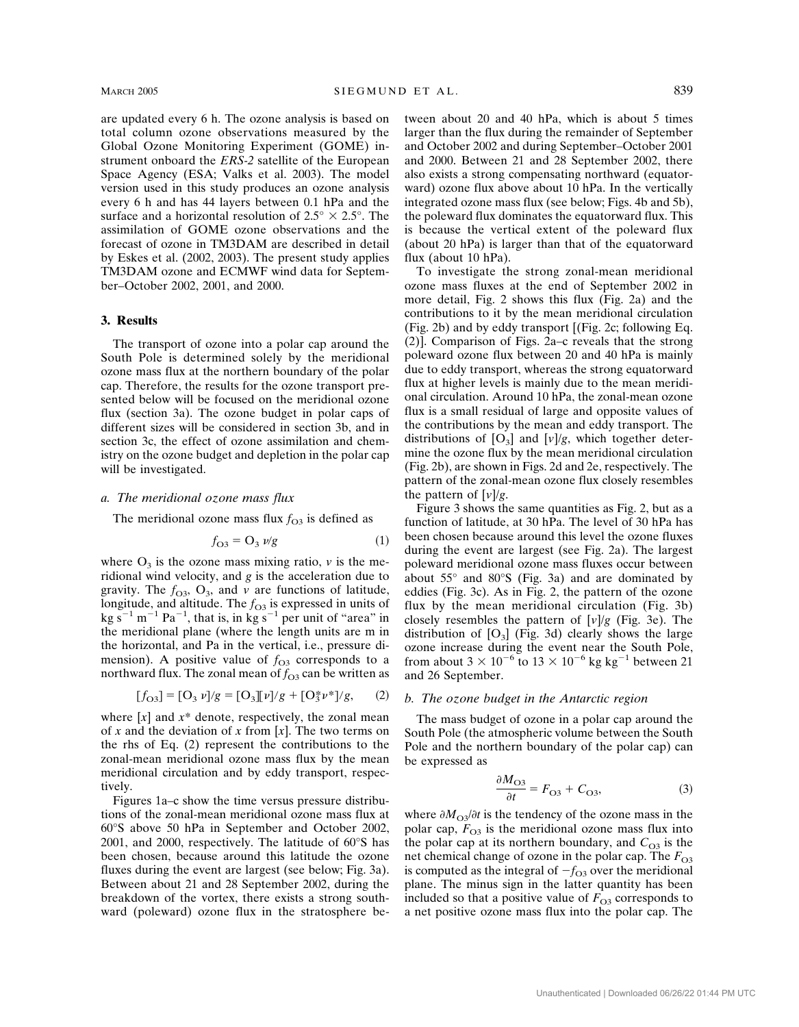are updated every 6 h. The ozone analysis is based on total column ozone observations measured by the Global Ozone Monitoring Experiment (GOME) instrument onboard the *ERS-2* satellite of the European Space Agency (ESA; Valks et al. 2003). The model version used in this study produces an ozone analysis every 6 h and has 44 layers between 0.1 hPa and the surface and a horizontal resolution of  $2.5^{\circ} \times 2.5^{\circ}$ . The assimilation of GOME ozone observations and the forecast of ozone in TM3DAM are described in detail by Eskes et al. (2002, 2003). The present study applies TM3DAM ozone and ECMWF wind data for September–October 2002, 2001, and 2000.

#### **3. Results**

The transport of ozone into a polar cap around the South Pole is determined solely by the meridional ozone mass flux at the northern boundary of the polar cap. Therefore, the results for the ozone transport presented below will be focused on the meridional ozone flux (section 3a). The ozone budget in polar caps of different sizes will be considered in section 3b, and in section 3c, the effect of ozone assimilation and chemistry on the ozone budget and depletion in the polar cap will be investigated.

### *a. The meridional ozone mass flux*

The meridional ozone mass flux  $f_{\text{O3}}$  is defined as

$$
f_{\mathbf{O3}} = \mathbf{O}_3 \, \nu/\mathbf{g} \tag{1}
$$

where  $O_3$  is the ozone mass mixing ratio,  $\nu$  is the meridional wind velocity, and *g* is the acceleration due to gravity. The  $f_{\text{O3}}$ , O<sub>3</sub>, and *v* are functions of latitude, longitude, and altitude. The  $f_{\text{O3}}$  is expressed in units of  $\text{kg s}^{-1} \text{ m}^{-1} \text{ Pa}^{-1}$ , that is, in  $\text{kg s}^{-1}$  per unit of "area" in the meridional plane (where the length units are m in the horizontal, and Pa in the vertical, i.e., pressure dimension). A positive value of  $f_{\text{O3}}$  corresponds to a northward flux. The zonal mean of  $f_{\text{O3}}$  can be written as

$$
[f_{O3}] = [O_3 \nu]/g = [O_3][\nu]/g + [O_3^* \nu^*]/g, \quad (2)
$$

where  $[x]$  and  $x^*$  denote, respectively, the zonal mean of *x* and the deviation of *x* from [*x*]. The two terms on the rhs of Eq. (2) represent the contributions to the zonal-mean meridional ozone mass flux by the mean meridional circulation and by eddy transport, respectively.

Figures 1a–c show the time versus pressure distributions of the zonal-mean meridional ozone mass flux at 60°S above 50 hPa in September and October 2002, 2001, and 2000, respectively. The latitude of 60°S has been chosen, because around this latitude the ozone fluxes during the event are largest (see below; Fig. 3a). Between about 21 and 28 September 2002, during the breakdown of the vortex, there exists a strong southward (poleward) ozone flux in the stratosphere between about 20 and 40 hPa, which is about 5 times larger than the flux during the remainder of September and October 2002 and during September–October 2001 and 2000. Between 21 and 28 September 2002, there also exists a strong compensating northward (equatorward) ozone flux above about 10 hPa. In the vertically integrated ozone mass flux (see below; Figs. 4b and 5b), the poleward flux dominates the equatorward flux. This is because the vertical extent of the poleward flux (about 20 hPa) is larger than that of the equatorward flux (about 10 hPa).

To investigate the strong zonal-mean meridional ozone mass fluxes at the end of September 2002 in more detail, Fig. 2 shows this flux (Fig. 2a) and the contributions to it by the mean meridional circulation (Fig. 2b) and by eddy transport [(Fig. 2c; following Eq. (2)]. Comparison of Figs. 2a–c reveals that the strong poleward ozone flux between 20 and 40 hPa is mainly due to eddy transport, whereas the strong equatorward flux at higher levels is mainly due to the mean meridional circulation. Around 10 hPa, the zonal-mean ozone flux is a small residual of large and opposite values of the contributions by the mean and eddy transport. The distributions of  $[O_3]$  and  $[v]/g$ , which together determine the ozone flux by the mean meridional circulation (Fig. 2b), are shown in Figs. 2d and 2e, respectively. The pattern of the zonal-mean ozone flux closely resembles the pattern of [*v*]/*g*.

Figure 3 shows the same quantities as Fig. 2, but as a function of latitude, at 30 hPa. The level of 30 hPa has been chosen because around this level the ozone fluxes during the event are largest (see Fig. 2a). The largest poleward meridional ozone mass fluxes occur between about  $55^{\circ}$  and  $80^{\circ}$ S (Fig. 3a) and are dominated by eddies (Fig. 3c). As in Fig. 2, the pattern of the ozone flux by the mean meridional circulation (Fig. 3b) closely resembles the pattern of  $[v]/g$  (Fig. 3e). The distribution of  $[O_3]$  (Fig. 3d) clearly shows the large ozone increase during the event near the South Pole, from about  $3 \times 10^{-6}$  to  $13 \times 10^{-6}$  kg kg<sup>-1</sup> between 21 and 26 September.

#### *b. The ozone budget in the Antarctic region*

The mass budget of ozone in a polar cap around the South Pole (the atmospheric volume between the South Pole and the northern boundary of the polar cap) can be expressed as

$$
\frac{\partial M_{\text{O3}}}{\partial t} = F_{\text{O3}} + C_{\text{O3}},\tag{3}
$$

where  $\partial M_{\text{O}3}/\partial t$  is the tendency of the ozone mass in the polar cap,  $F_{\text{O3}}$  is the meridional ozone mass flux into the polar cap at its northern boundary, and  $C_{\text{O3}}$  is the net chemical change of ozone in the polar cap. The  $F_{\text{O}3}$ is computed as the integral of  $-f_{\Omega}$  over the meridional plane. The minus sign in the latter quantity has been included so that a positive value of  $F_{\Omega}$  corresponds to a net positive ozone mass flux into the polar cap. The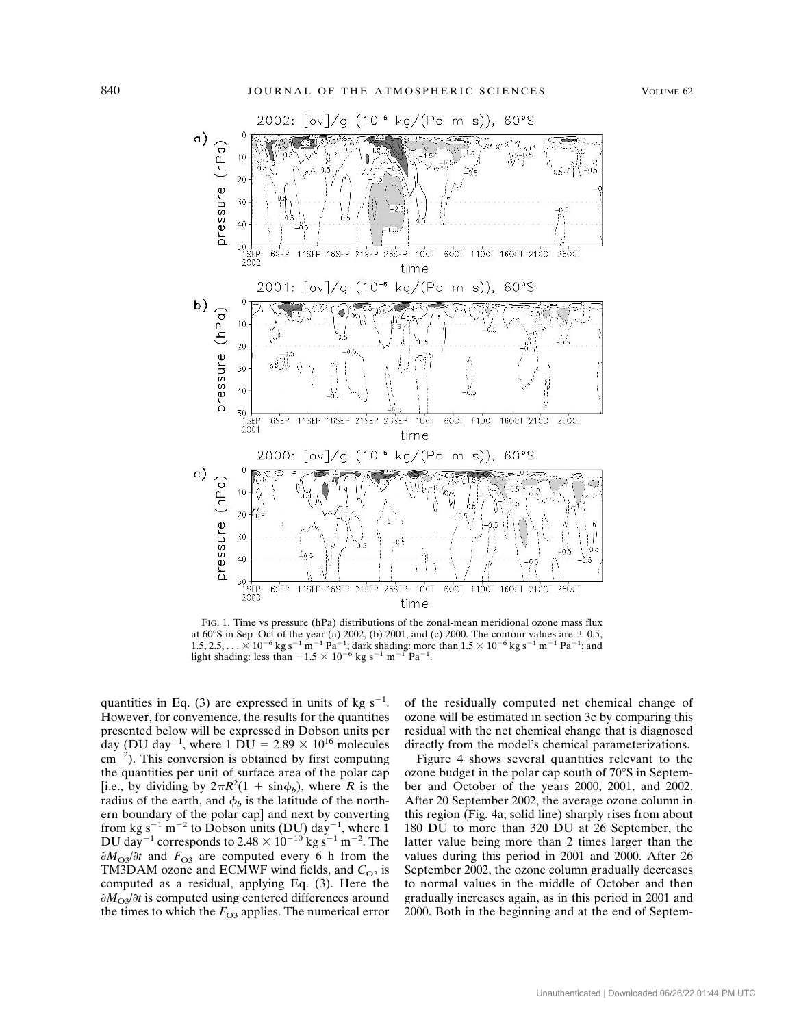

FIG. 1. Time vs pressure (hPa) distributions of the zonal-mean meridional ozone mass flux at 60°S in Sep–Oct of the year (a) 2002, (b) 2001, and (c) 2000. The contour values are  $\pm$  0.5, 1.5, 2.5, . . . × 10<sup>-6</sup> kg s<sup>-1</sup> m<sup>-1</sup> Pa<sup>-1</sup>; dark shading: more than  $1.5 \times 10^{-6}$  kg s<sup>-1</sup> m<sup>-1</sup> Pa<sup>-1</sup>; and light shad

quantities in Eq. (3) are expressed in units of kg  $s^{-1}$ . However, for convenience, the results for the quantities presented below will be expressed in Dobson units per day (DU day<sup>-1</sup>, where 1 DU = 2.89  $\times$  10<sup>16</sup> molecules  $\text{cm}^{-2}$ ). This conversion is obtained by first computing the quantities per unit of surface area of the polar cap [i.e., by dividing by  $2\pi R^2(1 + \sin \phi_b)$ , where *R* is the radius of the earth, and  $\phi_b$  is the latitude of the northern boundary of the polar cap] and next by converting from kg s<sup>-1</sup> m<sup>-2</sup> to Dobson units (DU) day<sup>-1</sup>, where 1 DU day<sup>-1</sup> corresponds to 2.48  $\times$  10<sup>-10</sup> kg s<sup>-1</sup> m<sup>-2</sup>. The  $\partial M_{\text{O}3}/\partial t$  and  $F_{\text{O}3}$  are computed every 6 h from the TM3DAM ozone and ECMWF wind fields, and  $C_{\text{O3}}$  is computed as a residual, applying Eq. (3). Here the  $\partial M_{\Omega}$ <sup> $\partial t$ </sup> is computed using centered differences around the times to which the  $F_{\text{O3}}$  applies. The numerical error

of the residually computed net chemical change of ozone will be estimated in section 3c by comparing this residual with the net chemical change that is diagnosed directly from the model's chemical parameterizations.

Figure 4 shows several quantities relevant to the ozone budget in the polar cap south of 70°S in September and October of the years 2000, 2001, and 2002. After 20 September 2002, the average ozone column in this region (Fig. 4a; solid line) sharply rises from about 180 DU to more than 320 DU at 26 September, the latter value being more than 2 times larger than the values during this period in 2001 and 2000. After 26 September 2002, the ozone column gradually decreases to normal values in the middle of October and then gradually increases again, as in this period in 2001 and 2000. Both in the beginning and at the end of Septem-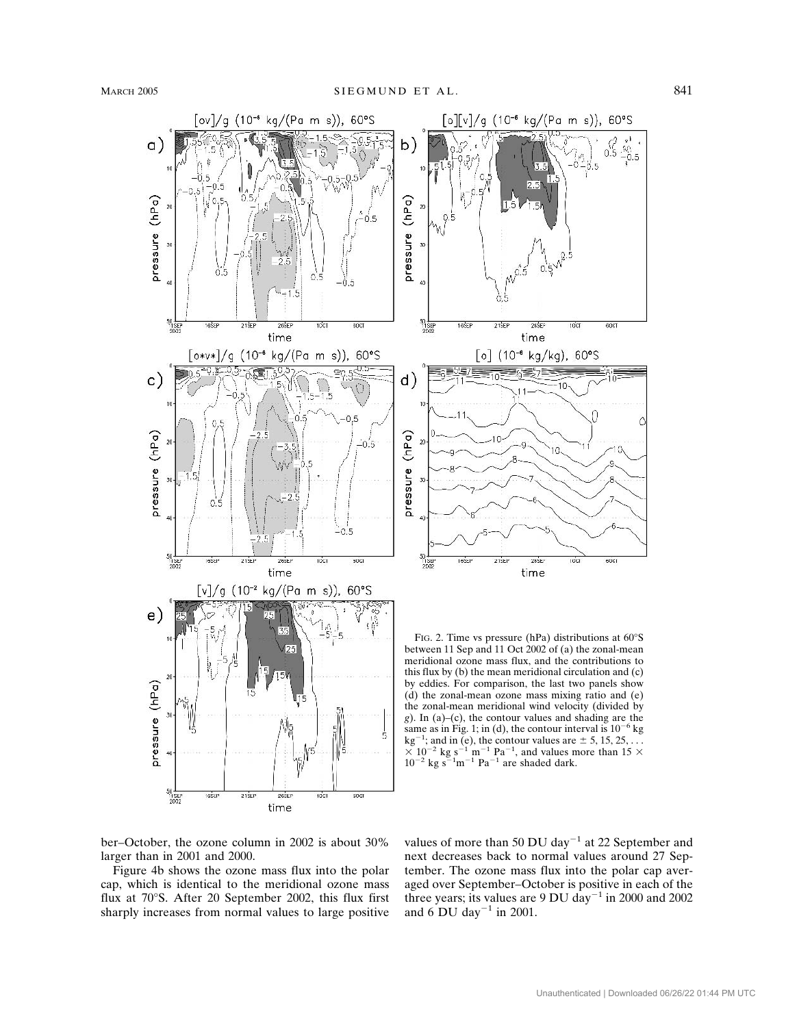

ber–October, the ozone column in 2002 is about 30% larger than in 2001 and 2000.

Figure 4b shows the ozone mass flux into the polar cap, which is identical to the meridional ozone mass flux at 70°S. After 20 September 2002, this flux first sharply increases from normal values to large positive

values of more than 50 DU day<sup>-1</sup> at 22 September and next decreases back to normal values around 27 September. The ozone mass flux into the polar cap averaged over September–October is positive in each of the three years; its values are 9 DU day<sup>-1</sup> in 2000 and 2002 and 6 DU day<sup>-1</sup> in 2001.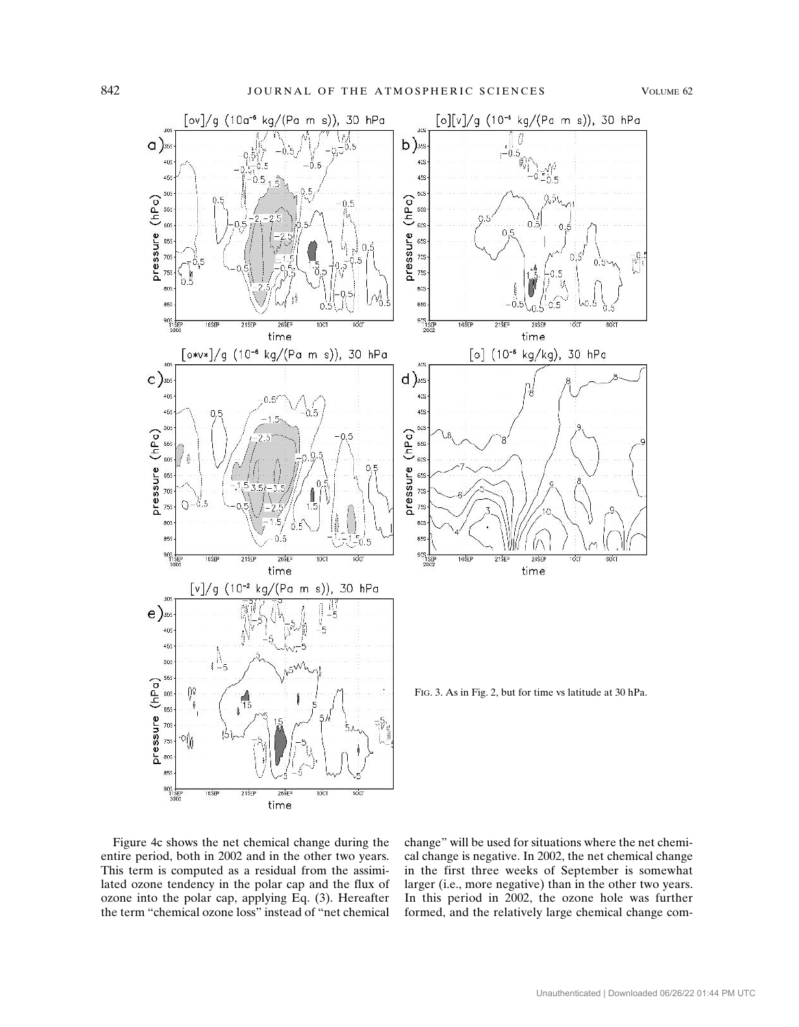

Figure 4c shows the net chemical change during the entire period, both in 2002 and in the other two years. This term is computed as a residual from the assimilated ozone tendency in the polar cap and the flux of ozone into the polar cap, applying Eq. (3). Hereafter the term "chemical ozone loss" instead of "net chemical change" will be used for situations where the net chemical change is negative. In 2002, the net chemical change in the first three weeks of September is somewhat larger (i.e., more negative) than in the other two years. In this period in 2002, the ozone hole was further formed, and the relatively large chemical change com-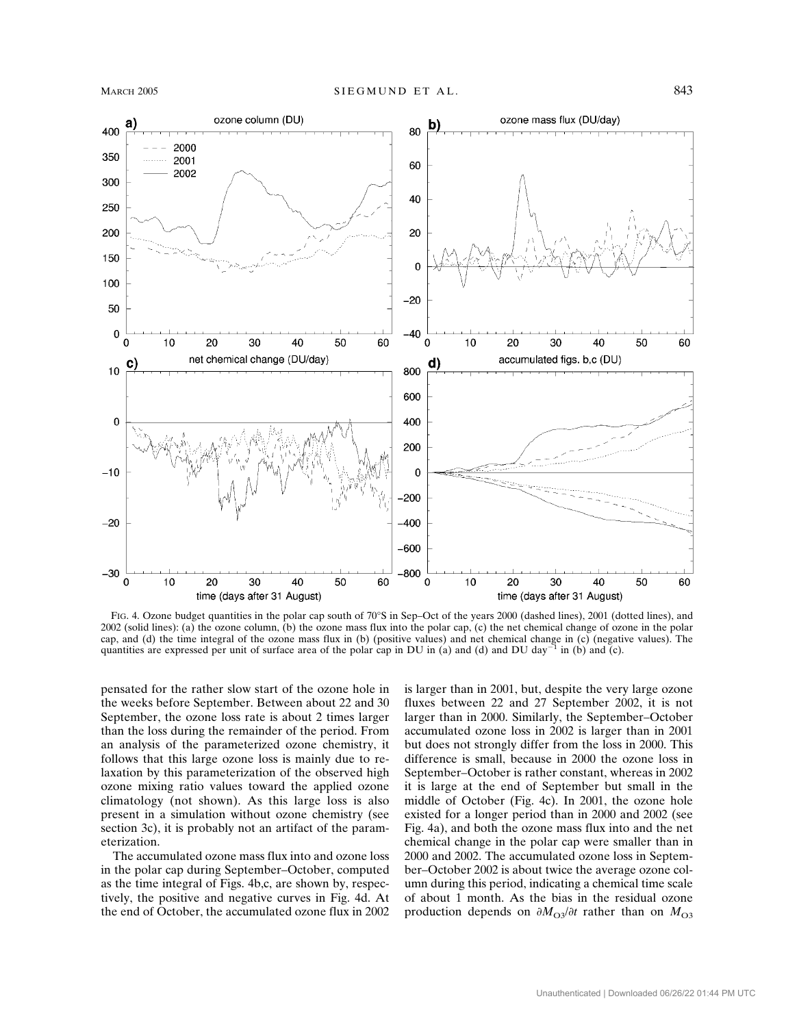

FIG. 4. Ozone budget quantities in the polar cap south of 70°S in Sep–Oct of the years 2000 (dashed lines), 2001 (dotted lines), and 2002 (solid lines): (a) the ozone column, (b) the ozone mass flux into the polar cap, (c) the net chemical change of ozone in the polar cap, and (d) the time integral of the ozone mass flux in (b) (positive values) and net chemical change in (c) (negative values). The quantities are expressed per unit of surface area of the polar cap in DU in (a) and (d) and DU day<sup>-1</sup> in (b) and (c).

pensated for the rather slow start of the ozone hole in the weeks before September. Between about 22 and 30 September, the ozone loss rate is about 2 times larger than the loss during the remainder of the period. From an analysis of the parameterized ozone chemistry, it follows that this large ozone loss is mainly due to relaxation by this parameterization of the observed high ozone mixing ratio values toward the applied ozone climatology (not shown). As this large loss is also present in a simulation without ozone chemistry (see section 3c), it is probably not an artifact of the parameterization.

The accumulated ozone mass flux into and ozone loss in the polar cap during September–October, computed as the time integral of Figs. 4b,c, are shown by, respectively, the positive and negative curves in Fig. 4d. At the end of October, the accumulated ozone flux in 2002

is larger than in 2001, but, despite the very large ozone fluxes between 22 and 27 September 2002, it is not larger than in 2000. Similarly, the September–October accumulated ozone loss in 2002 is larger than in 2001 but does not strongly differ from the loss in 2000. This difference is small, because in 2000 the ozone loss in September–October is rather constant, whereas in 2002 it is large at the end of September but small in the middle of October (Fig. 4c). In 2001, the ozone hole existed for a longer period than in 2000 and 2002 (see Fig. 4a), and both the ozone mass flux into and the net chemical change in the polar cap were smaller than in 2000 and 2002. The accumulated ozone loss in September–October 2002 is about twice the average ozone column during this period, indicating a chemical time scale of about 1 month. As the bias in the residual ozone production depends on  $\partial M_{\text{O}3}/\partial t$  rather than on  $M_{\text{O}3}$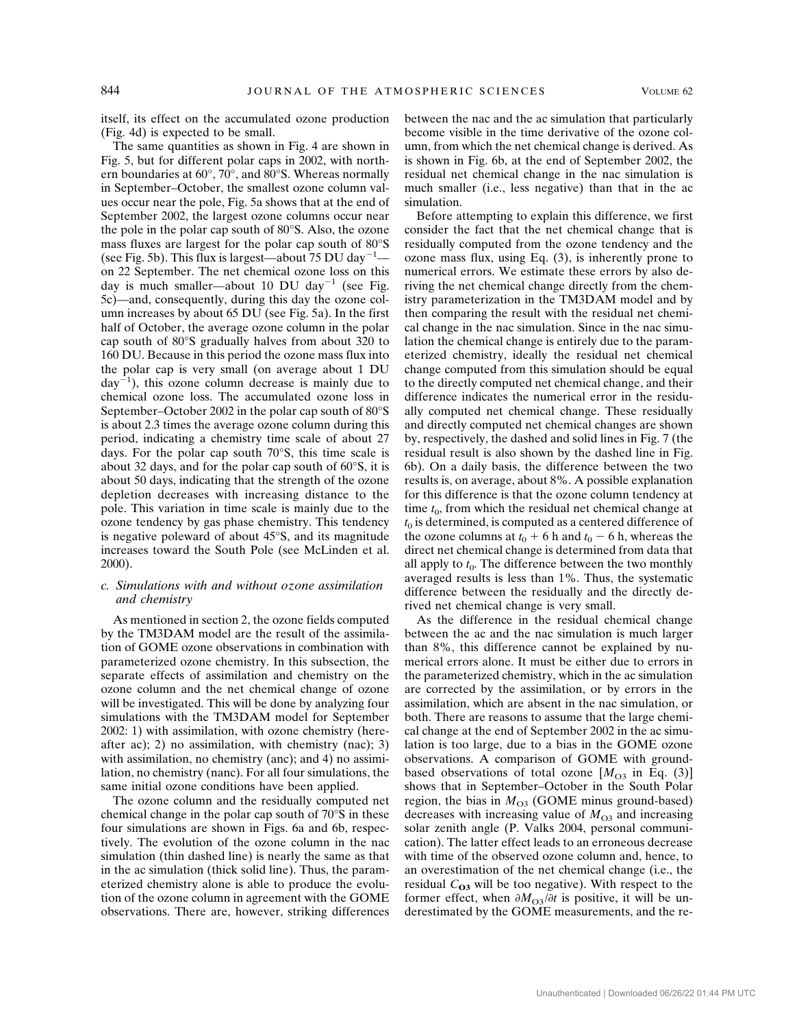itself, its effect on the accumulated ozone production (Fig. 4d) is expected to be small.

The same quantities as shown in Fig. 4 are shown in Fig. 5, but for different polar caps in 2002, with northern boundaries at 60°, 70°, and 80°S. Whereas normally in September–October, the smallest ozone column values occur near the pole, Fig. 5a shows that at the end of September 2002, the largest ozone columns occur near the pole in the polar cap south of 80°S. Also, the ozone mass fluxes are largest for the polar cap south of 80°S (see Fig. 5b). This flux is largest—about  $75$  DU day<sup>-1</sup> on 22 September. The net chemical ozone loss on this day is much smaller—about 10 DU day<sup>-1</sup> (see Fig. 5c)—and, consequently, during this day the ozone column increases by about 65 DU (see Fig. 5a). In the first half of October, the average ozone column in the polar cap south of 80°S gradually halves from about 320 to 160 DU. Because in this period the ozone mass flux into the polar cap is very small (on average about 1 DU  $day^{-1}$ ), this ozone column decrease is mainly due to chemical ozone loss. The accumulated ozone loss in September–October 2002 in the polar cap south of 80°S is about 2.3 times the average ozone column during this period, indicating a chemistry time scale of about 27 days. For the polar cap south 70°S, this time scale is about 32 days, and for the polar cap south of 60°S, it is about 50 days, indicating that the strength of the ozone depletion decreases with increasing distance to the pole. This variation in time scale is mainly due to the ozone tendency by gas phase chemistry. This tendency is negative poleward of about 45°S, and its magnitude increases toward the South Pole (see McLinden et al. 2000).

# *c. Simulations with and without ozone assimilation and chemistry*

As mentioned in section 2, the ozone fields computed by the TM3DAM model are the result of the assimilation of GOME ozone observations in combination with parameterized ozone chemistry. In this subsection, the separate effects of assimilation and chemistry on the ozone column and the net chemical change of ozone will be investigated. This will be done by analyzing four simulations with the TM3DAM model for September 2002: 1) with assimilation, with ozone chemistry (hereafter ac); 2) no assimilation, with chemistry (nac); 3) with assimilation, no chemistry (anc); and 4) no assimilation, no chemistry (nanc). For all four simulations, the same initial ozone conditions have been applied.

The ozone column and the residually computed net chemical change in the polar cap south of 70°S in these four simulations are shown in Figs. 6a and 6b, respectively. The evolution of the ozone column in the nac simulation (thin dashed line) is nearly the same as that in the ac simulation (thick solid line). Thus, the parameterized chemistry alone is able to produce the evolution of the ozone column in agreement with the GOME observations. There are, however, striking differences

between the nac and the ac simulation that particularly become visible in the time derivative of the ozone column, from which the net chemical change is derived. As is shown in Fig. 6b, at the end of September 2002, the residual net chemical change in the nac simulation is much smaller (i.e., less negative) than that in the ac simulation.

Before attempting to explain this difference, we first consider the fact that the net chemical change that is residually computed from the ozone tendency and the ozone mass flux, using Eq. (3), is inherently prone to numerical errors. We estimate these errors by also deriving the net chemical change directly from the chemistry parameterization in the TM3DAM model and by then comparing the result with the residual net chemical change in the nac simulation. Since in the nac simulation the chemical change is entirely due to the parameterized chemistry, ideally the residual net chemical change computed from this simulation should be equal to the directly computed net chemical change, and their difference indicates the numerical error in the residually computed net chemical change. These residually and directly computed net chemical changes are shown by, respectively, the dashed and solid lines in Fig. 7 (the residual result is also shown by the dashed line in Fig. 6b). On a daily basis, the difference between the two results is, on average, about 8%. A possible explanation for this difference is that the ozone column tendency at time  $t_0$ , from which the residual net chemical change at  $t_0$  is determined, is computed as a centered difference of the ozone columns at  $t_0$  + 6 h and  $t_0$  – 6 h, whereas the direct net chemical change is determined from data that all apply to  $t_0$ . The difference between the two monthly averaged results is less than 1%. Thus, the systematic difference between the residually and the directly derived net chemical change is very small.

As the difference in the residual chemical change between the ac and the nac simulation is much larger than 8%, this difference cannot be explained by numerical errors alone. It must be either due to errors in the parameterized chemistry, which in the ac simulation are corrected by the assimilation, or by errors in the assimilation, which are absent in the nac simulation, or both. There are reasons to assume that the large chemical change at the end of September 2002 in the ac simulation is too large, due to a bias in the GOME ozone observations. A comparison of GOME with groundbased observations of total ozone  $[M<sub>O3</sub>$  in Eq. (3)] shows that in September–October in the South Polar region, the bias in  $M_{\text{O}3}$  (GOME minus ground-based) decreases with increasing value of  $M<sub>O3</sub>$  and increasing solar zenith angle (P. Valks 2004, personal communication). The latter effect leads to an erroneous decrease with time of the observed ozone column and, hence, to an overestimation of the net chemical change (i.e., the residual  $C_{\Omega}$ <sup>3</sup> will be too negative). With respect to the former effect, when  $\partial M_{\Omega}$ / $\partial t$  is positive, it will be underestimated by the GOME measurements, and the re-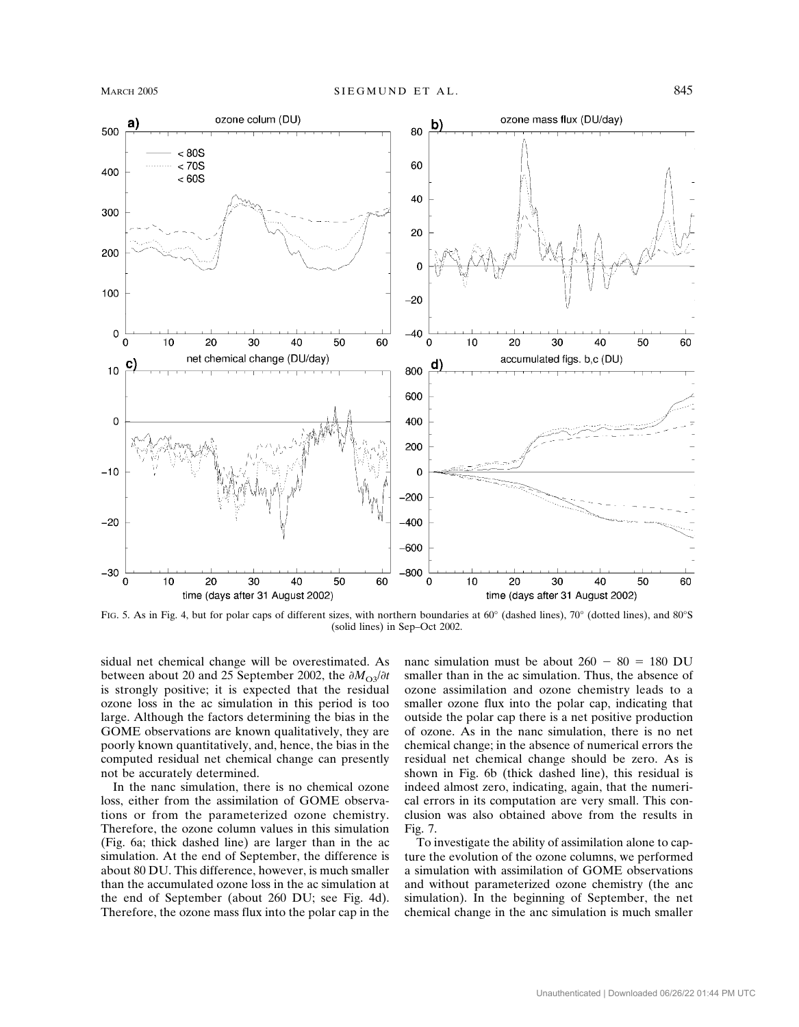

FIG. 5. As in Fig. 4, but for polar caps of different sizes, with northern boundaries at 60° (dashed lines), 70° (dotted lines), and 80°S (solid lines) in Sep–Oct 2002.

sidual net chemical change will be overestimated. As between about 20 and 25 September 2002, the  $\partial M_{\Omega}$  $\partial t$ is strongly positive; it is expected that the residual ozone loss in the ac simulation in this period is too large. Although the factors determining the bias in the GOME observations are known qualitatively, they are poorly known quantitatively, and, hence, the bias in the computed residual net chemical change can presently not be accurately determined.

In the nanc simulation, there is no chemical ozone loss, either from the assimilation of GOME observations or from the parameterized ozone chemistry. Therefore, the ozone column values in this simulation (Fig. 6a; thick dashed line) are larger than in the ac simulation. At the end of September, the difference is about 80 DU. This difference, however, is much smaller than the accumulated ozone loss in the ac simulation at the end of September (about 260 DU; see Fig. 4d). Therefore, the ozone mass flux into the polar cap in the

nanc simulation must be about  $260 - 80 = 180$  DU smaller than in the ac simulation. Thus, the absence of ozone assimilation and ozone chemistry leads to a smaller ozone flux into the polar cap, indicating that outside the polar cap there is a net positive production of ozone. As in the nanc simulation, there is no net chemical change; in the absence of numerical errors the residual net chemical change should be zero. As is shown in Fig. 6b (thick dashed line), this residual is indeed almost zero, indicating, again, that the numerical errors in its computation are very small. This conclusion was also obtained above from the results in Fig. 7.

To investigate the ability of assimilation alone to capture the evolution of the ozone columns, we performed a simulation with assimilation of GOME observations and without parameterized ozone chemistry (the anc simulation). In the beginning of September, the net chemical change in the anc simulation is much smaller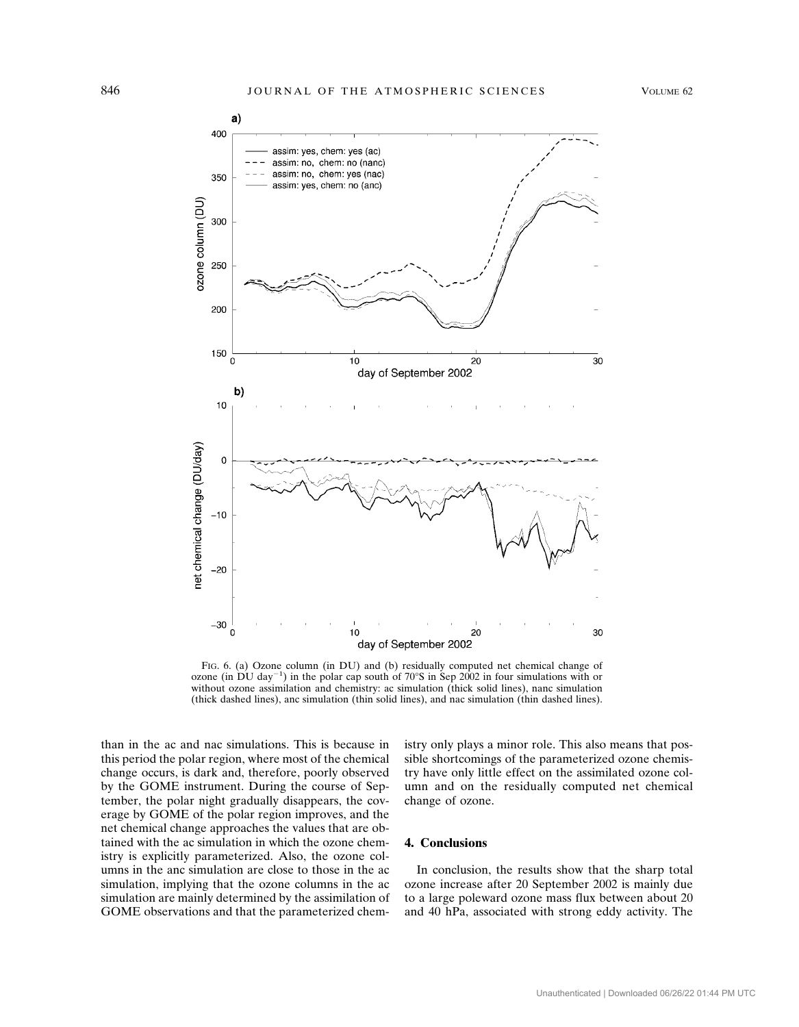

FIG. 6. (a) Ozone column (in DU) and (b) residually computed net chemical change of ozone (in DU day<sup>-1</sup>) in the polar cap south of 70°S in Sep 2002 in four simulations with or without ozone assimilation and chemistry: ac simulation (thick solid lines), nanc simulation (thick dashed lines), anc simulation (thin solid lines), and nac simulation (thin dashed lines).

than in the ac and nac simulations. This is because in this period the polar region, where most of the chemical change occurs, is dark and, therefore, poorly observed by the GOME instrument. During the course of September, the polar night gradually disappears, the coverage by GOME of the polar region improves, and the net chemical change approaches the values that are obtained with the ac simulation in which the ozone chemistry is explicitly parameterized. Also, the ozone columns in the anc simulation are close to those in the ac simulation, implying that the ozone columns in the ac simulation are mainly determined by the assimilation of GOME observations and that the parameterized chemistry only plays a minor role. This also means that possible shortcomings of the parameterized ozone chemistry have only little effect on the assimilated ozone column and on the residually computed net chemical change of ozone.

# **4. Conclusions**

In conclusion, the results show that the sharp total ozone increase after 20 September 2002 is mainly due to a large poleward ozone mass flux between about 20 and 40 hPa, associated with strong eddy activity. The